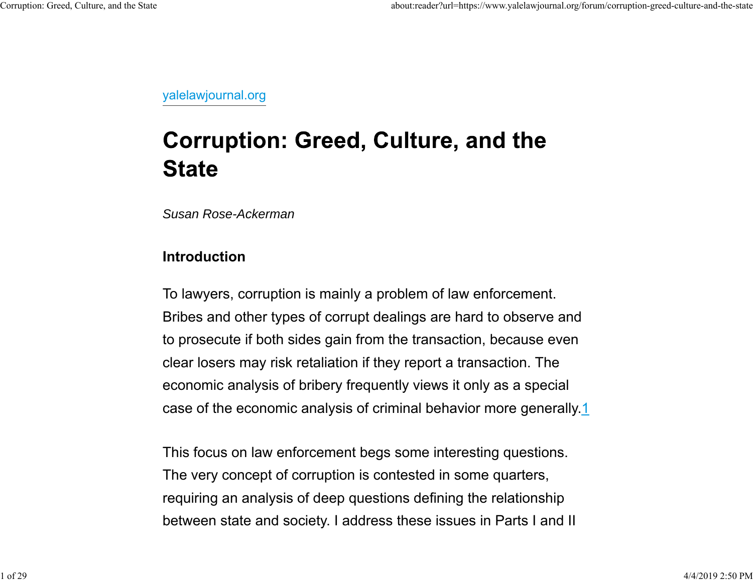yalelawjournal.org

# **Corruption: Greed, Culture, and the State**

*Susan Rose-Ackerman*

## **Introduction**

To lawyers, corruption is mainly a problem of law enforcement. Bribes and other types of corrupt dealings are hard to observe and to prosecute if both sides gain from the transaction, because even clear losers may risk retaliation if they report a transaction. The economic analysis of bribery frequently views it only as a special case of the economic analysis of criminal behavior more generally.1

This focus on law enforcement begs some interesting questions. The very concept of corruption is contested in some quarters, requiring an analysis of deep questions defining the relationship between state and society. I address these issues in Parts I and II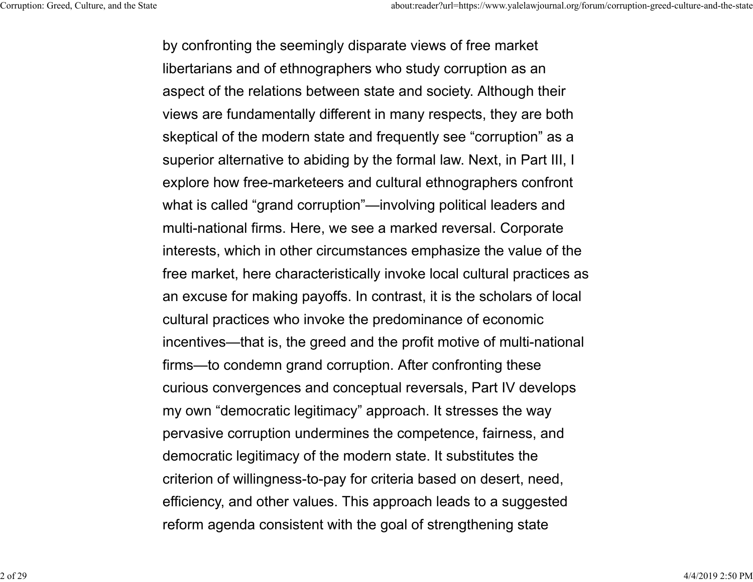by confronting the seemingly disparate views of free market libertarians and of ethnographers who study corruption as an aspect of the relations between state and society. Although their views are fundamentally different in many respects, they are both skeptical of the modern state and frequently see "corruption" as a superior alternative to abiding by the formal law. Next, in Part III, I explore how free-marketeers and cultural ethnographers confront what is called "grand corruption"—involving political leaders and multi-national firms. Here, we see a marked reversal. Corporate interests, which in other circumstances emphasize the value of the free market, here characteristically invoke local cultural practices as an excuse for making payoffs. In contrast, it is the scholars of local cultural practices who invoke the predominance of economic incentives—that is, the greed and the profit motive of multi-national firms—to condemn grand corruption. After confronting these curious convergences and conceptual reversals, Part IV develops my own "democratic legitimacy" approach. It stresses the way pervasive corruption undermines the competence, fairness, and democratic legitimacy of the modern state. It substitutes the criterion of willingness-to-pay for criteria based on desert, need, efficiency, and other values. This approach leads to a suggested reform agenda consistent with the goal of strengthening state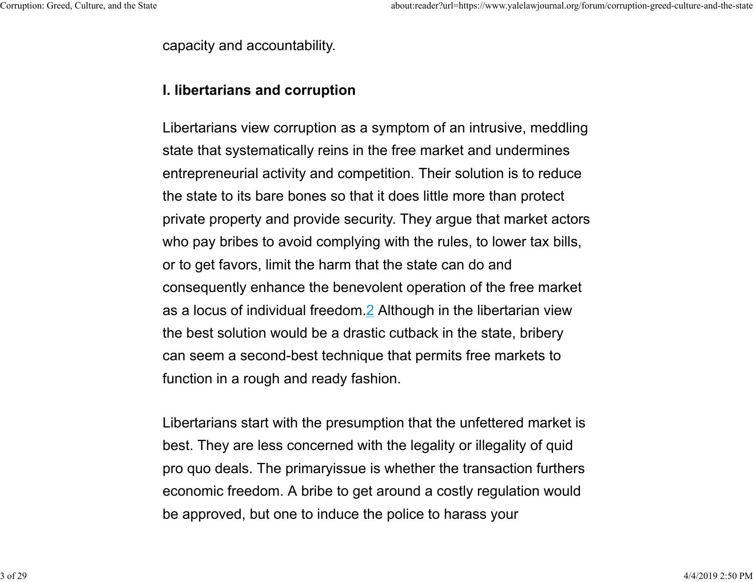capacity and accountability.

### **I. libertarians and corruption**

Libertarians view corruption as a symptom of an intrusive, meddling state that systematically reins in the free market and undermines entrepreneurial activity and competition. Their solution is to reduce the state to its bare bones so that it does little more than protect private property and provide security. They argue that market actors who pay bribes to avoid complying with the rules, to lower tax bills, or to get favors, limit the harm that the state can do and consequently enhance the benevolent operation of the free market as a locus of individual freedom.2 Although in the libertarian view the best solution would be a drastic cutback in the state, bribery can seem a second-best technique that permits free markets to function in a rough and ready fashion.

Libertarians start with the presumption that the unfettered market is best. They are less concerned with the legality or illegality of quid pro quo deals. The primaryissue is whether the transaction furthers economic freedom. A bribe to get around a costly regulation would be approved, but one to induce the police to harass your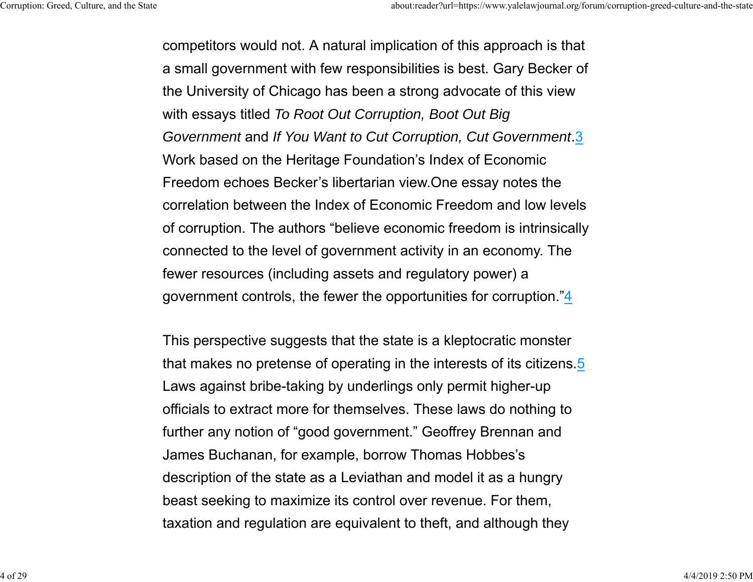competitors would not. A natural implication of this approach is that a small government with few responsibilities is best. Gary Becker of the University of Chicago has been a strong advocate of this view with essays titled *To Root Out Corruption, Boot Out Big Government* and *If You Want to Cut Corruption, Cut Government*.3 Work based on the Heritage Foundation's Index of Economic Freedom echoes Becker's libertarian view.One essay notes the correlation between the Index of Economic Freedom and low levelsof corruption. The authors "believe economic freedom is intrinsically connected to the level of government activity in an economy. The fewer resources (including assets and regulatory power) a government controls, the fewer the opportunities for corruption."4

This perspective suggests that the state is a kleptocratic monster that makes no pretense of operating in the interests of its citizens.5 Laws against bribe-taking by underlings only permit higher-up officials to extract more for themselves. These laws do nothing to further any notion of "good government." Geoffrey Brennan and James Buchanan, for example, borrow Thomas Hobbes's description of the state as a Leviathan and model it as a hungry beast seeking to maximize its control over revenue. For them, taxation and regulation are equivalent to theft, and although they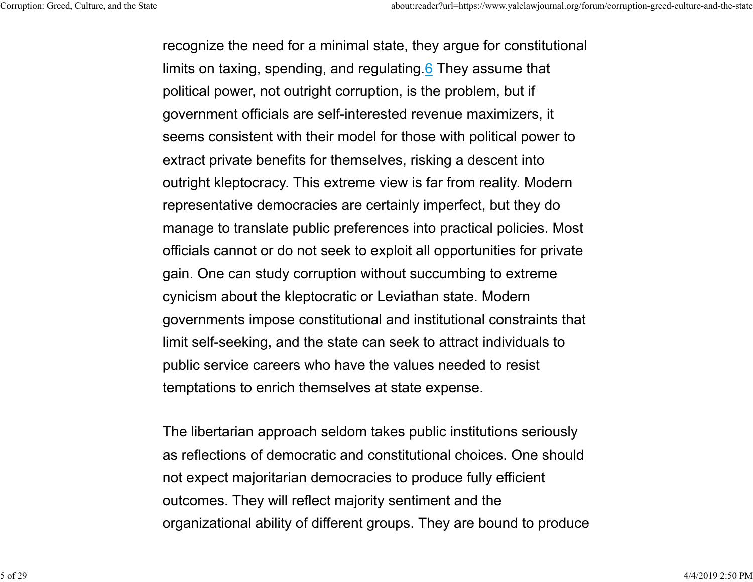recognize the need for a minimal state, they argue for constitutional limits on taxing, spending, and regulating.<u>6</u> They assume that political power, not outright corruption, is the problem, but i f government officials are self-interested revenue maximizers, it seems consistent with their model for those with political power to extract private benefits for themselves, risking a descent into outright kleptocracy. This extreme view is far from reality. Modern representative democracies are certainly imperfect, but they do manage to translate public preferences into practical policies. Most officials cannot or do not seek to exploit all opportunities for private gain. One can study corruption without succumbing to extreme cynicism about the kleptocratic or Leviathan state. Modern governments impose constitutional and institutional constraints that limit self-seeking, and the state can seek to attract individuals to public service careers who have the values needed to resist temptations to enrich themselves at state expense.

The libertarian approach seldom takes public institutions seriously as reflections of democratic and constitutional choices. One should not expect majoritarian democracies to produce fully efficient outcomes. They will reflect majority sentiment and the organizational ability of different groups. They are bound to produce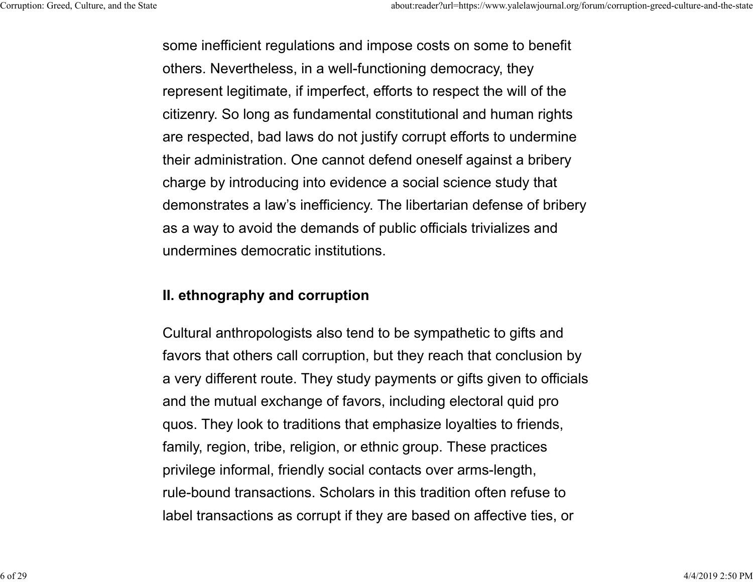some inefficient regulations and impose costs on some to benefit others. Nevertheless, in a well-functioning democracy, they represent legitimate, if imperfect, efforts to respect the will of the citizenry. So long as fundamental constitutional and human rights are respected, bad laws do not justify corrupt efforts to undermine their administration. One cannot defend oneself against a bribery charge by introducing into evidence a social science study that demonstrates a law's inefficiency. The libertarian defense of bribery as a way to avoid the demands of public officials trivializes and undermines democratic institutions.

# **II. ethnography and corruption**

Cultural anthropologists also tend to be sympathetic to gifts and favors that others call corruption, but they reach that conclusion by a very different route. They study payments or gifts given to officials and the mutual exchange of favors, including electoral quid pro quos. They look to traditions that emphasize loyalties to friends, family, region, tribe, religion, or ethnic group. These practices privilege informal, friendly social contacts over arms-length, rule-bound transactions. Scholars in this tradition often refuse tolabel transactions as corrupt if they are based on affective ties, or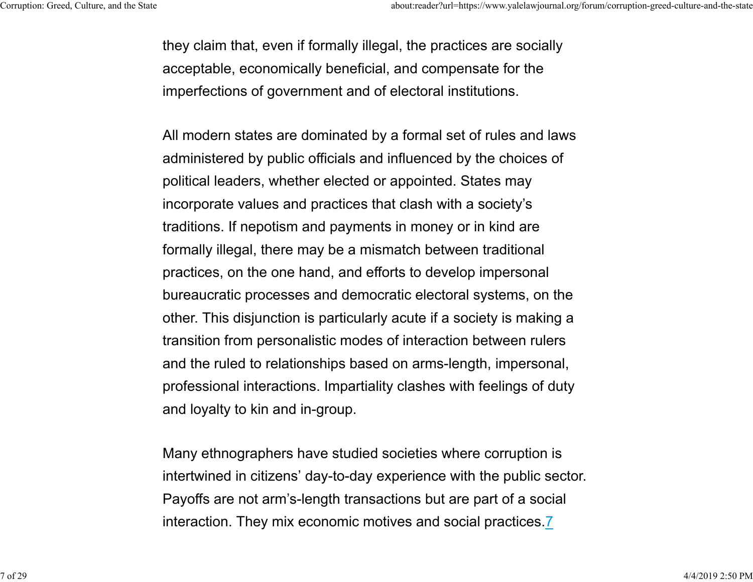they claim that, even if formally illegal, the practices are socially acceptable, economically beneficial, and compensate for the imperfections of government and of electoral institutions.

All modern states are dominated by a formal set of rules and laws administered by public officials and influenced by the choices of political leaders, whether elected or appointed. States may incorporate values and practices that clash with a society's traditions. If nepotism and payments in money or in kind are formally illegal, there may be a mismatch between traditional practices, on the one hand, and efforts to develop impersonal bureaucratic processes and democratic electoral systems, on the other. This disjunction is particularly acute if a society is making a transition from personalistic modes of interaction between rulers and the ruled to relationships based on arms-length, impersonal, professional interactions. Impartiality clashes with feelings of duty and loyalty to kin and in-group.

Many ethnographers have studied societies where corruption is intertwined in citizens' day-to-day experience with the public sector. Payoffs are not arm's-length transactions but are part of a social interaction. They mix economic motives and social practices.7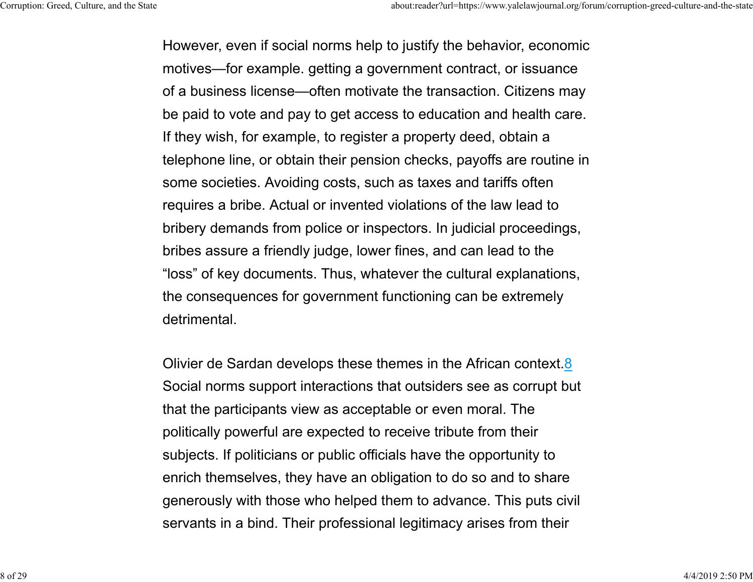However, even if social norms help to justify the behavior, economic motives—for example. getting a government contract, or issuance of a business license—often motivate the transaction. Citizens may be paid to vote and pay to get access to education and health care. If they wish, for example, to register a property deed, obtain a telephone line, or obtain their pension checks, payoffs are routine in some societies. Avoiding costs, such as taxes and tariffs often requires a bribe. Actual or invented violations of the law lead to bribery demands from police or inspectors. In judicial proceedings, bribes assure a friendly judge, lower fines, and can lead to th e "loss" of key documents. Thus, whatever the cultural explanations, the consequences for government functioning can be extremely detrimental.

Olivier de Sardan develops these themes in the African context.<u>8</u> Social norms support interactions that outsiders see as corrupt but that the participants view as acceptable or even moral. The politically powerful are expected to receive tribute from their subjects. If politicians or public officials have the opportunity to enrich themselves, they have an obligation to do so and to shar e generously with those who helped them to advance. This puts civil servants in a bind. Their professional legitimacy arises from their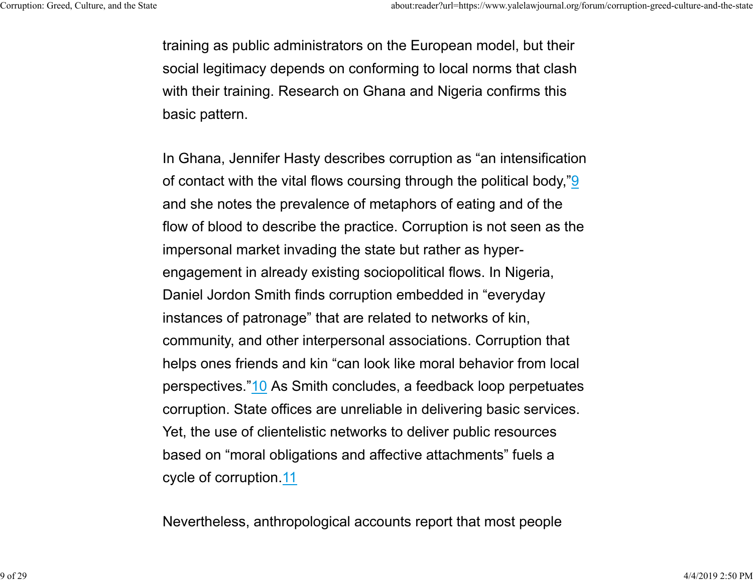training as public administrators on the European model, but their social legitimacy depends on conforming to local norms that clash with their training. Research on Ghana and Nigeria confirms this basic pattern.

In Ghana, Jennifer Hasty describes corruption as "an intensification of contact with the vital flows coursing through the political body,"9 and she notes the prevalence of metaphors of eating and of the flow of blood to describe the practice. Corruption is not seen as the impersonal market invading the state but rather as hyperengagement in already existing sociopolitical flows. In Nigeria, Daniel Jordon Smith finds corruption embedded in "everyday instances of patronage" that are related to networks of kin, community, and other interpersonal associations. Corruption that helps ones friends and kin "can look like moral behavior from local perspectives."10 As Smith concludes, a feedback loop perpetuates corruption. State offices are unreliable in delivering basic services. Yet, the use of clientelistic networks to deliver public resources based on "moral obligations and affective attachments" fuels a cycle of corruption.11

Nevertheless, anthropological accounts report that most people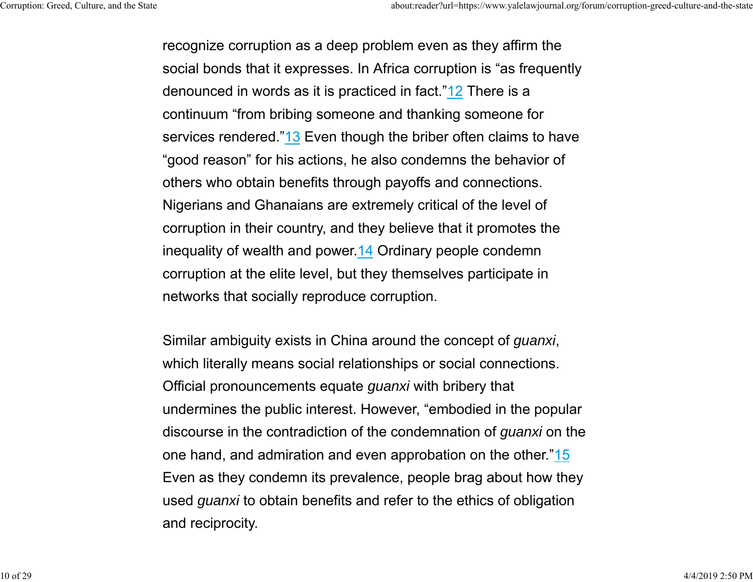recognize corruption as a deep problem even as they affirm the social bonds that it expresses. In Africa corruption is "as frequently denounced in words as it is practiced in fact."12 There is a continuum "from bribing someone and thanking someone for services rendered."13 Even though the briber often claims to have "good reason" for his actions, he also condemns the behavior of others who obtain benefits through payoffs and connections. Nigerians and Ghanaians are extremely critical of the level of corruption in their country, and they believe that it promotes the inequality of wealth and power.14 Ordinary people condemn corruption at the elite level, but they themselves participate in networks that socially reproduce corruption.

Similar ambiguity exists in China around the concept of *guanxi*, which literally means social relationships or social connections. Official pronouncements equate *guanxi* with bribery that undermines the public interest. However, "embodied in the popular discourse in the contradiction of the condemnation of *guanxi* on the one hand, and admiration and even approbation on the other."15 Even as they condemn its prevalence, people brag about how they used *guanxi* to obtain benefits and refer to the ethics of obligation and reciprocity.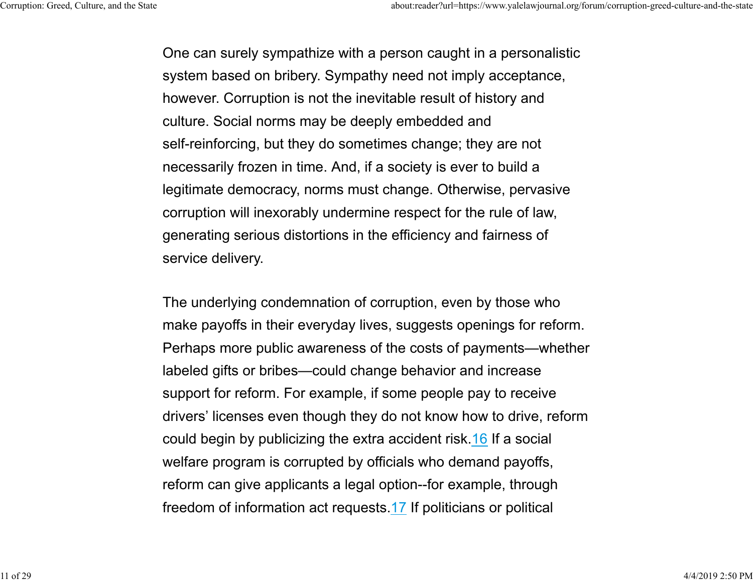One can surely sympathize with a person caught in a personalistic system based on bribery. Sympathy need not imply acceptance, however. Corruption is not the inevitable result of history and culture. Social norms may be deeply embedded and self-reinforcing, but they do sometimes change; they are not necessarily frozen in time. And, if a society is ever to build a legitimate democracy, norms must change. Otherwise, pervasive corruption will inexorably undermine respect for the rule of law, generating serious distortions in the efficiency and fairness of service delivery.

The underlying condemnation of corruption, even by those who make payoffs in their everyday lives, suggests openings for reform. Perhaps more public awareness of the costs of payments—whether labeled gifts or bribes—could change behavior and increase support for reform. For example, if some people pay to receive drivers' licenses even though they do not know how to drive, reform could begin by publicizing the extra accident risk.16 If a social welfare program is corrupted by officials who demand payoffs, reform can give applicants a legal option--for example, through freedom of information act requests.17 If politicians or political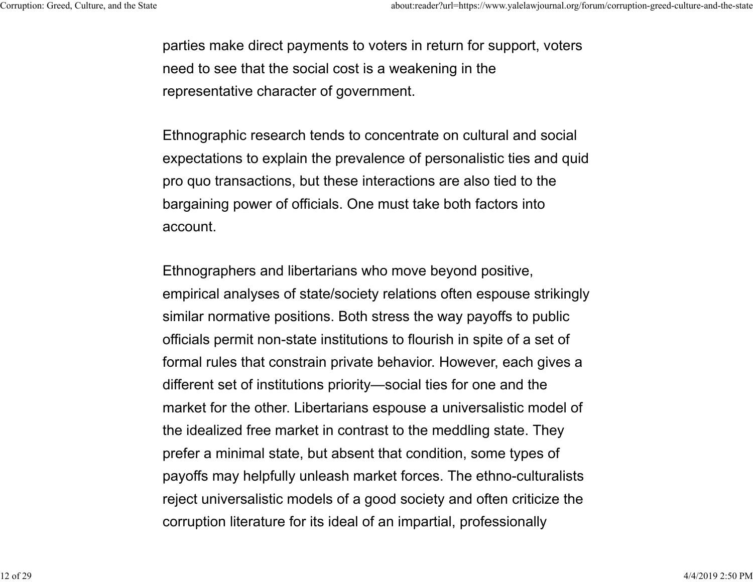parties make direct payments to voters in return for support, voters need to see that the social cost is a weakening in the representative character of government.

Ethnographic research tends to concentrate on cultural and social expectations to explain the prevalence of personalistic ties and quid pro quo transactions, but these interactions are also tied to the bargaining power of officials. One must take both factors into account.

Ethnographers and libertarians who move beyond positive, empirical analyses of state/society relations often espouse strikingly similar normative positions. Both stress the way payoffs to public officials permit non-state institutions to flourish in spite of a set of formal rules that constrain private behavior. However, each gives a different set of institutions priority—social ties for one and the market for the other. Libertarians espouse a universalistic model of the idealized free market in contrast to the meddling state. They prefer a minimal state, but absent that condition, some types of payoffs may helpfully unleash market forces. The ethno-culturalists reject universalistic models of a good society and often criticize the corruption literature for its ideal of an impartial, professionally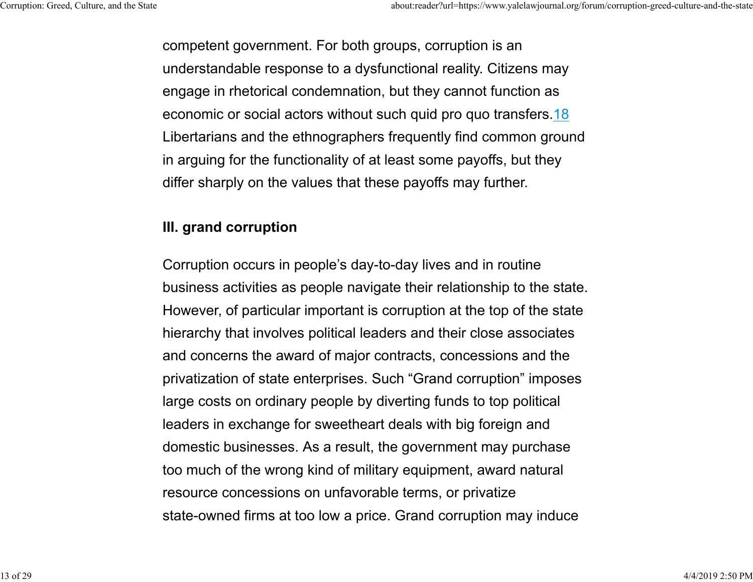competent government. For both groups, corruption is an understandable response to a dysfunctional reality. Citizens ma y engage in rhetorical condemnation, but they cannot function as economic or social actors without such quid pro quo transfers.18 Libertarians and the ethnographers frequently find common groun d in arguing for the functionality of at least some payoffs, but they differ sharply on the values that these payoffs may further.

# **III. grand corruption**

Corruption occurs in people's day-to-day lives and in routine business activities as people navigate their relationship to the state. However, of particular important is corruption at the top of the state hierarchy that involves political leaders and their close associates and concerns the award of major contracts, concessions and the privatization of state enterprises. Such "Grand corruption" imposes large costs on ordinary people by diverting funds to top political leaders in exchange for sweetheart deals with big foreign and domestic businesses. As a result, the government may purchase too much of the wrong kind of military equipment, award natural resource concessions on unfavorable terms, or privatize state-owned firms at too low a price. Grand corruption may induce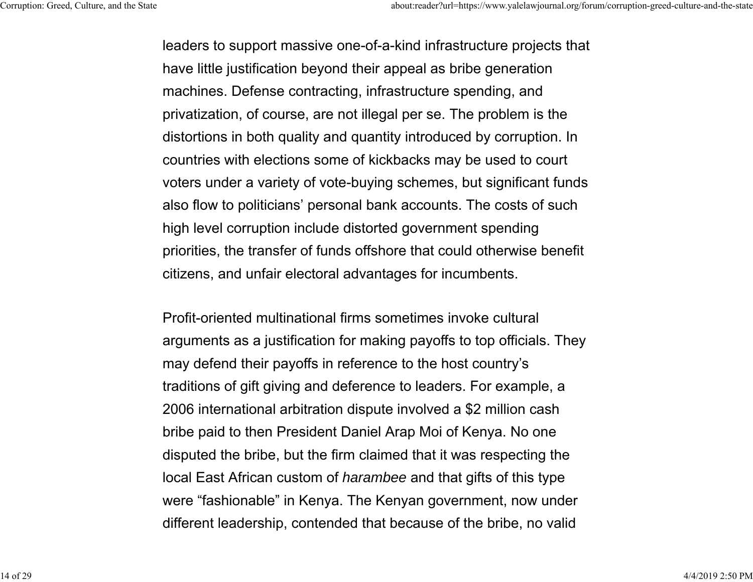leaders to support massive one-of-a-kind infrastructure projects that have little justification beyond their appeal as bribe generation machines. Defense contracting, infrastructure spending, and privatization, of course, are not illegal per se. The problem is the distortions in both quality and quantity introduced by corruption. In countries with elections some of kickbacks may be used to court voters under a variety of vote-buying schemes, but significant funds also flow to politicians' personal bank accounts. The costs of such high level corruption include distorted government spending priorities, the transfer of funds offshore that could otherwise benefit citizens, and unfair electoral advantages for incumbents.

Profit-oriented multinational firms sometimes invoke cultural arguments as a justification for making payoffs to top officials. They may defend their payoffs in reference to the host country's traditions of gift giving and deference to leaders. For example, a 2006 international arbitration dispute involved a \$2 million cash bribe paid to then President Daniel Arap Moi of Kenya. No one disputed the bribe, but the firm claimed that it was respecting the local East African custom of *harambee* and that gifts of this type were "fashionable" in Kenya. The Kenyan government, now under different leadership, contended that because of the bribe, no valid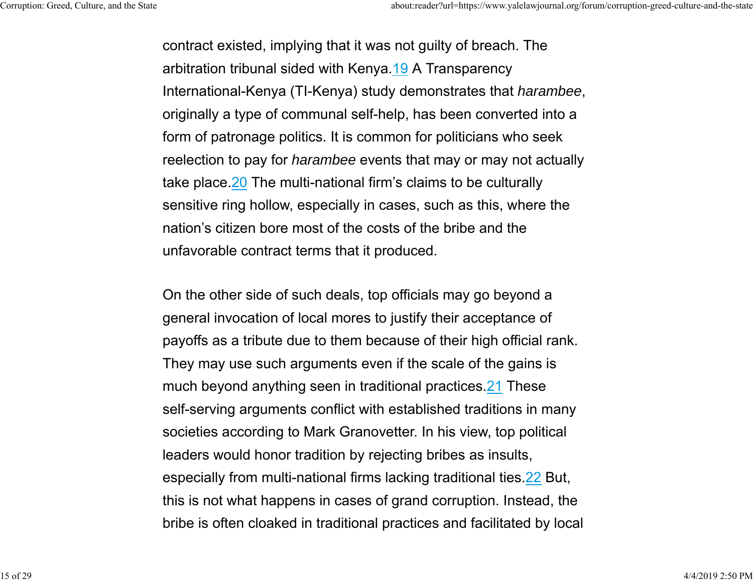contract existed, implying that it was not guilty of breach. The arbitration tribunal sided with Kenya.19 A Transparency International-Kenya (TI-Kenya) study demonstrates that *harambee*, originally a type of communal self-help, has been converted into a form of patronage politics. It is common for politicians who seek reelection to pay for *harambee* events that may or may not actually take place.<sup>20</sup> The multi-national firm's claims to be culturally sensitive ring hollow, especially in cases, such as this, where the nation's citizen bore most of the costs of the bribe and theunfavorable contract terms that it produced.

On the other side of such deals, top officials may go beyond a general invocation of local mores to justify their acceptance of payoffs as a tribute due to them because of their high official rank. They may use such arguments even if the scale of the gains is much beyond anything seen in traditional practices.21 These self-serving arguments conflict with established traditions in many societies according to Mark Granovetter. In his view, top political leaders would honor tradition by rejecting bribes as insults, especially from multi-national firms lacking traditional ties.22 But, this is not what happens in cases of grand corruption. Instead, the bribe is often cloaked in traditional practices and facilitated by local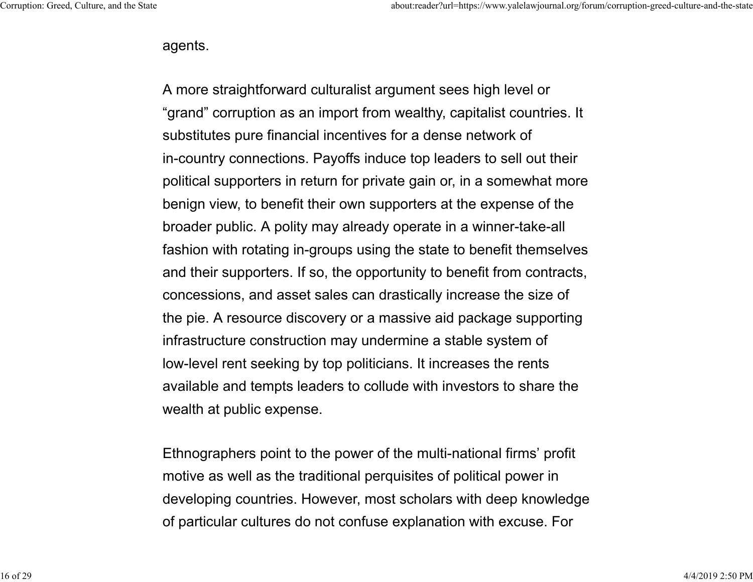#### agents.

A more straightforward culturalist argument sees high level or "grand" corruption as an import from wealthy, capitalist countries. It substitutes pure financial incentives for a dense network of in-country connections. Payoffs induce top leaders to sell out their political supporters in return for private gain or, in a somewhat more benign view, to benefit their own supporters at the expense of the broader public. A polity may already operate in a winner-take-all fashion with rotating in-groups using the state to benefit themselves and their supporters. If so, the opportunity to benefit from contracts, concessions, and asset sales can drastically increase the size of the pie. A resource discovery or a massive aid package supporting infrastructure construction may undermine a stable system of low-level rent seeking by top politicians. It increases the rents available and tempts leaders to collude with investors to share the wealth at public expense.

Ethnographers point to the power of the multi-national firms' profit motive as well as the traditional perquisites of political power in developing countries. However, most scholars with deep knowledge of particular cultures do not confuse explanation with excuse. For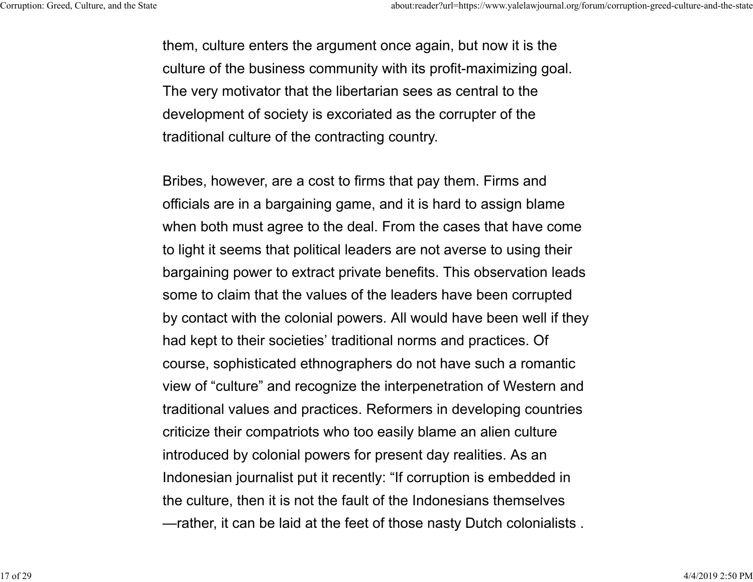them, culture enters the argument once again, but now it is the culture of the business community with its profit-maximizing goal. The very motivator that the libertarian sees as central to the development of society is excoriated as the corrupter of the traditional culture of the contracting country.

Bribes, however, are a cost to firms that pay them. Firms and officials are in a bargaining game, and it is hard to assign blame when both must agree to the deal. From the cases that have come to light it seems that political leaders are not averse to using their bargaining power to extract private benefits. This observation leads some to claim that the values of the leaders have been corrupted by contact with the colonial powers. All would have been well if they had kept to their societies' traditional norms and practices. Of course, sophisticated ethnographers do not have such a romantic view of "culture" and recognize the interpenetration of Western and traditional values and practices. Reformers in developing countries criticize their compatriots who too easily blame an alien culture introduced by colonial powers for present day realities. As an Indonesian journalist put it recently: "If corruption is embedded in the culture, then it is not the fault of the Indonesians themselves —rather, it can be laid at the feet of those nasty Dutch colonialists .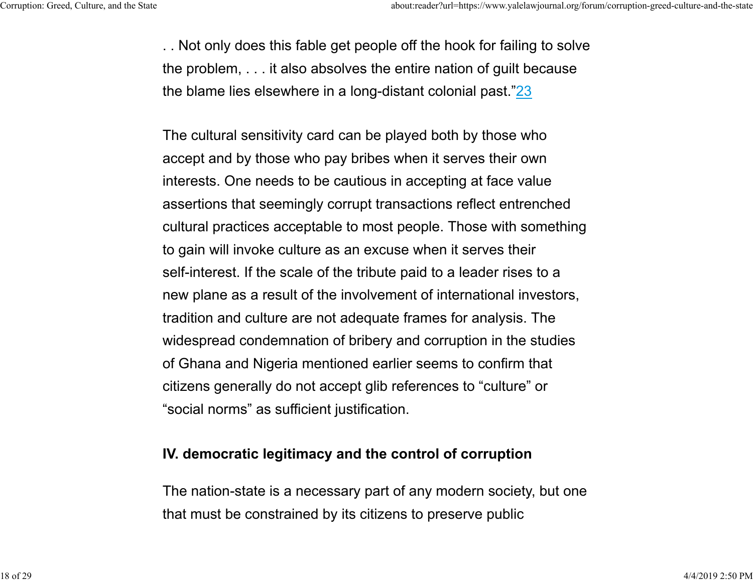. . Not only does this fable get people off the hook for failing to solve the problem, . . . it also absolves the entire nation of guilt because the blame lies elsewhere in a long-distant colonial past."23

The cultural sensitivity card can be played both by those who accept and by those who pay bribes when it serves their own interests. One needs to be cautious in accepting at face value assertions that seemingly corrupt transactions reflect entrenched cultural practices acceptable to most people. Those with something to gain will invoke culture as an excuse when it serves their self-interest. If the scale of the tribute paid to a leader rises to a new plane as a result of the involvement of international investors, tradition and culture are not adequate frames for analysis. The widespread condemnation of bribery and corruption in the studies of Ghana and Nigeria mentioned earlier seems to confirm that citizens generally do not accept glib references to "culture" or "social norms" as sufficient justification.

#### **IV. democratic legitimacy and the control of corruption**

The nation-state is a necessary part of any modern society, but one that must be constrained by its citizens to preserve public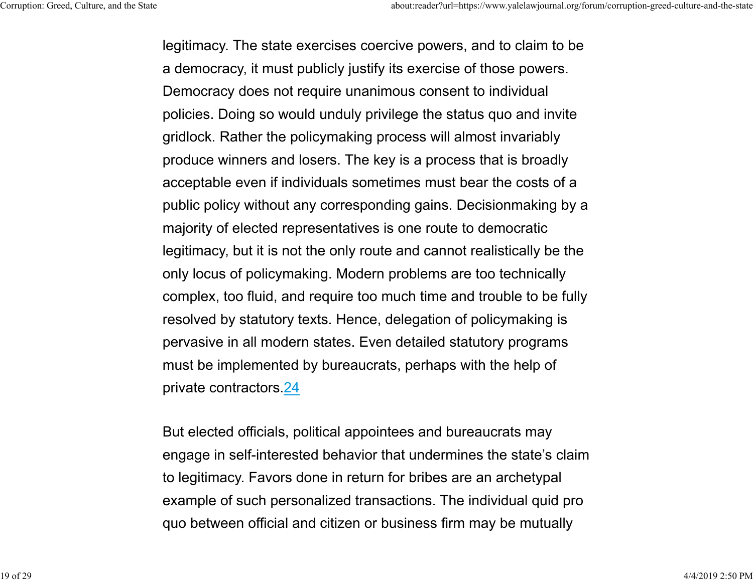legitimacy. The state exercises coercive powers, and to claim to be a democracy, it must publicly justify its exercise of those powers. Democracy does not require unanimous consent to individual policies. Doing so would unduly privilege the status quo and invite gridlock. Rather the policymaking process will almost invariabl y produce winners and losers. The key is a process that is broadl y acceptable even if individuals sometimes must bear the costs of a public policy without any corresponding gains. Decisionmaking by a majority of elected representatives is one route to democratic legitimacy, but it is not the only route and cannot realistically be the only locus of policymaking. Modern problems are too technically complex, too fluid, and require too much time and trouble to be fully resolved by statutory texts. Hence, delegation of policymaking is pervasive in all modern states. Even detailed statutory program s must be implemented by bureaucrats, perhaps with the help of private contractors.24

But elected officials, political appointees and bureaucrats may engage in self-interested behavior that undermines the state's claim to legitimacy. Favors done in return for bribes are an archetypal example of such personalized transactions. The individual quid pro quo between official and citizen or business firm may be mutually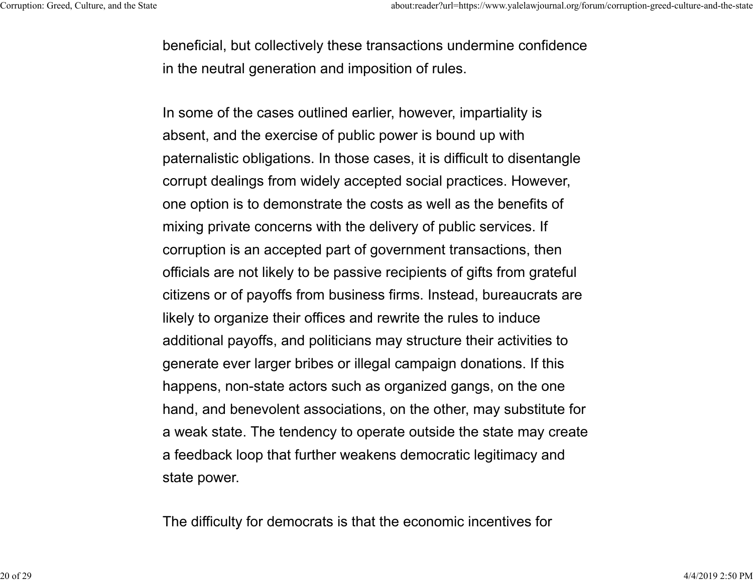beneficial, but collectively these transactions undermine confidence in the neutral generation and imposition of rules.

In some of the cases outlined earlier, however, impartiality is absent, and the exercise of public power is bound up with paternalistic obligations. In those cases, it is difficult to disentangle corrupt dealings from widely accepted social practices. However, one option is to demonstrate the costs as well as the benefits of mixing private concerns with the delivery of public services. I f corruption is an accepted part of government transactions, then officials are not likely to be passive recipients of gifts from grateful citizens or of payoffs from business firms. Instead, bureaucrats are likely to organize their offices and rewrite the rules to induc e additional payoffs, and politicians may structure their activities to generate ever larger bribes or illegal campaign donations. If this happens, non-state actors such as organized gangs, on the one hand, and benevolent associations, on the other, may substitute for a weak state. The tendency to operate outside the state may create a feedback loop that further weakens democratic legitimacy and state power.

The difficulty for democrats is that the economic incentives for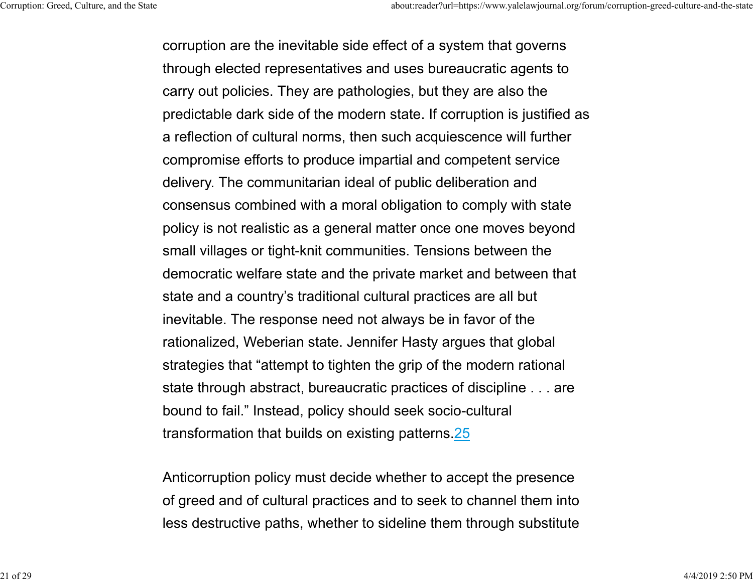corruption are the inevitable side effect of a system that governs through elected representatives and uses bureaucratic agents to carry out policies. They are pathologies, but they are also the predictable dark side of the modern state. If corruption is justified as a reflection of cultural norms, then such acquiescence will further compromise efforts to produce impartial and competent service delivery. The communitarian ideal of public deliberation and consensus combined with a moral obligation to comply with state policy is not realistic as a general matter once one moves beyond small villages or tight-knit communities. Tensions between the democratic welfare state and the private market and between that state and a country's traditional cultural practices are all but inevitable. The response need not always be in favor of the rationalized, Weberian state. Jennifer Hasty argues that global strategies that "attempt to tighten the grip of the modern rational state through abstract, bureaucratic practices of discipline . . . are bound to fail." Instead, policy should seek socio-cultural transformation that builds on existing patterns.25

Anticorruption policy must decide whether to accept the presence of greed and of cultural practices and to seek to channel them into less destructive paths, whether to sideline them through substitute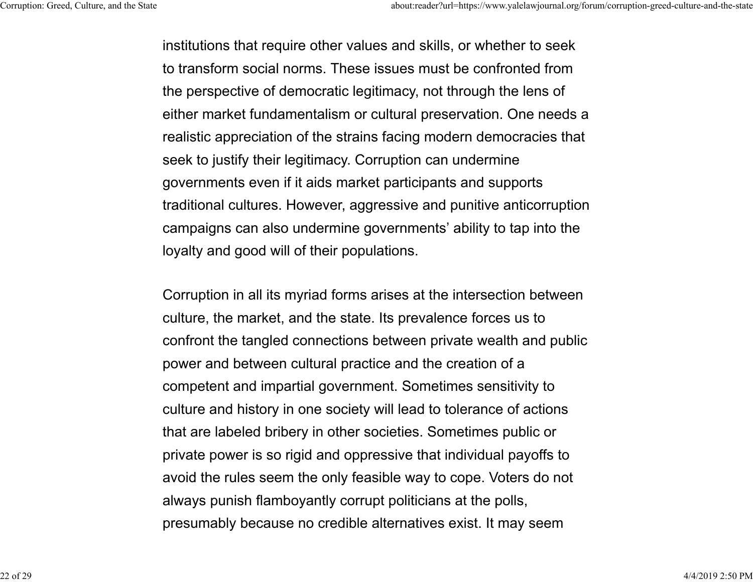institutions that require other values and skills, or whether to seek to transform social norms. These issues must be confronted fromthe perspective of democratic legitimacy, not through the lens of either market fundamentalism or cultural preservation. One needs a realistic appreciation of the strains facing modern democracies that seek to justify their legitimacy. Corruption can undermine governments even if it aids market participants and supports traditional cultures. However, aggressive and punitive anticorruption campaigns can also undermine governments' ability to tap into the loyalty and good will of their populations.

Corruption in all its myriad forms arises at the intersection between culture, the market, and the state. Its prevalence forces us to confront the tangled connections between private wealth and public power and between cultural practice and the creation of a competent and impartial government. Sometimes sensitivity to culture and history in one society will lead to tolerance of actions that are labeled bribery in other societies. Sometimes public or private power is so rigid and oppressive that individual payoffs to avoid the rules seem the only feasible way to cope. Voters do not always punish flamboyantly corrupt politicians at the polls, presumably because no credible alternatives exist. It may seem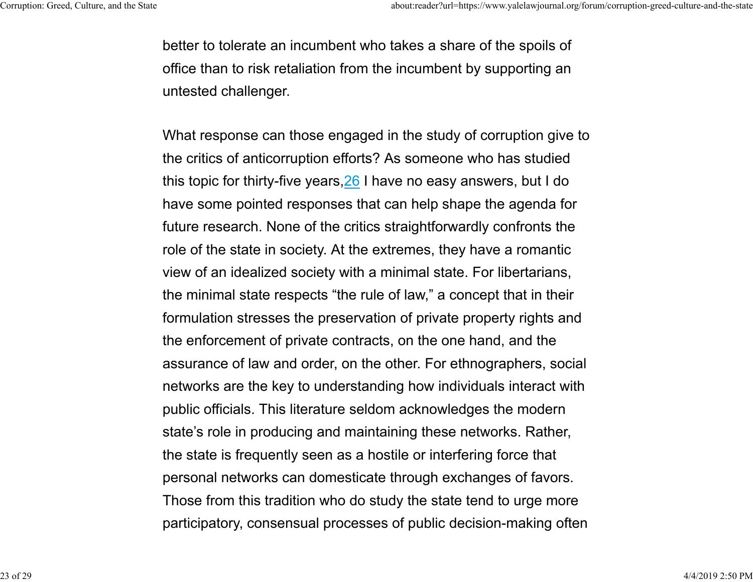better to tolerate an incumbent who takes a share of the spoils of office than to risk retaliation from the incumbent by supporting an untested challenger.

What response can those engaged in the study of corruption give to the critics of anticorruption efforts? As someone who has studied this topic for thirty-five years,  $26$  I have no easy answers, but I do have some pointed responses that can help shape the agenda for future research. None of the critics straightforwardly confronts the role of the state in society. At the extremes, they have a romantic view of an idealized society with a minimal state. For libertarians, the minimal state respects "the rule of law," a concept that in their formulation stresses the preservation of private property rights and the enforcement of private contracts, on the one hand, and the assurance of law and order, on the other. For ethnographers, social networks are the key to understanding how individuals interact with public officials. This literature seldom acknowledges the moder n state's role in producing and maintaining these networks. Rather, the state is frequently seen as a hostile or interfering force that personal networks can domesticate through exchanges of favors. Those from this tradition who do study the state tend to urge more participatory, consensual processes of public decision-making often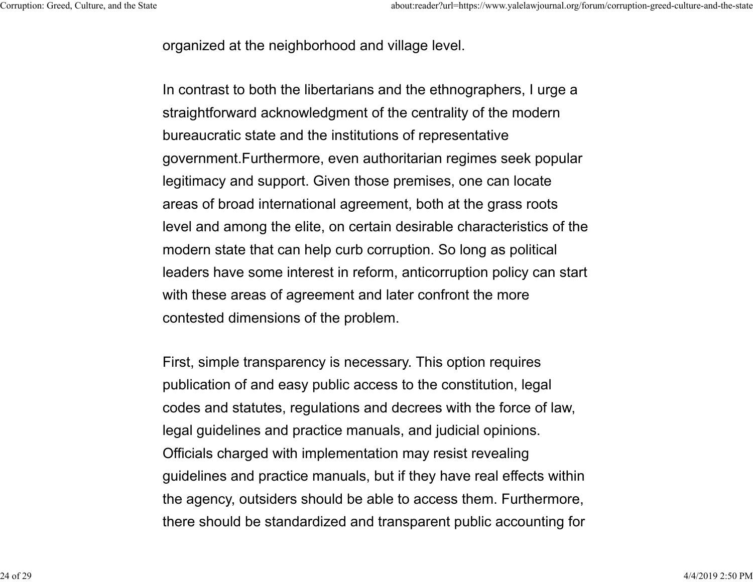organized at the neighborhood and village level.

In contrast to both the libertarians and the ethnographers, I urge a straightforward acknowledgment of the centrality of the modern bureaucratic state and the institutions of representative government.Furthermore, even authoritarian regimes seek popular legitimacy and support. Given those premises, one can locate areas of broad international agreement, both at the grass roots level and among the elite, on certain desirable characteristics of the modern state that can help curb corruption. So long as political leaders have some interest in reform, anticorruption policy can start with these areas of agreement and later confront the more contested dimensions of the problem.

First, simple transparency is necessary. This option requires publication of and easy public access to the constitution, legal codes and statutes, regulations and decrees with the force of law, legal guidelines and practice manuals, and judicial opinions. Officials charged with implementation may resist revealing guidelines and practice manuals, but if they have real effects within the agency, outsiders should be able to access them. Furthermore, there should be standardized and transparent public accounting for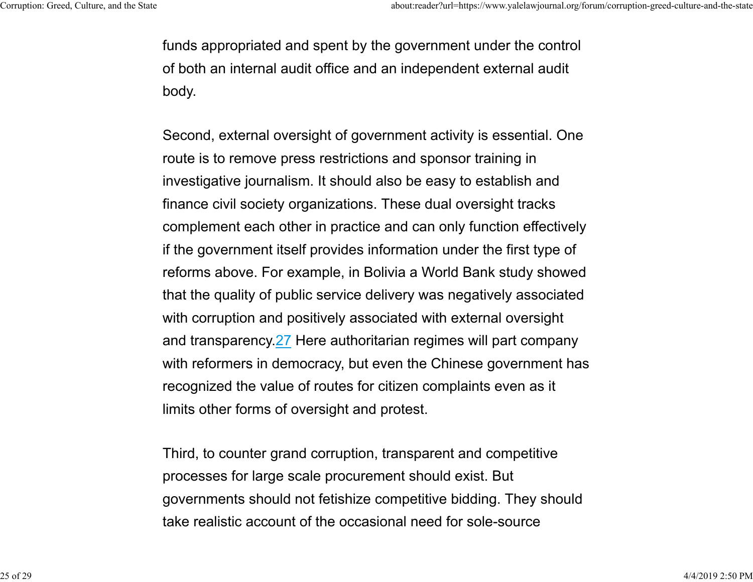funds appropriated and spent by the government under the control of both an internal audit office and an independent external audit body.

Second, external oversight of government activity is essential. One route is to remove press restrictions and sponsor training in investigative journalism. It should also be easy to establish and finance civil society organizations. These dual oversight tracks complement each other in practice and can only function effectively if the government itself provides information under the first type of reforms above. For example, in Bolivia a World Bank study showed that the quality of public service delivery was negatively associated with corruption and positively associated with external oversight and transparency.27 Here authoritarian regimes will part company with reformers in democracy, but even the Chinese government has recognized the value of routes for citizen complaints even as it limits other forms of oversight and protest.

Third, to counter grand corruption, transparent and competitive processes for large scale procurement should exist. But governments should not fetishize competitive bidding. They should take realistic account of the occasional need for sole-source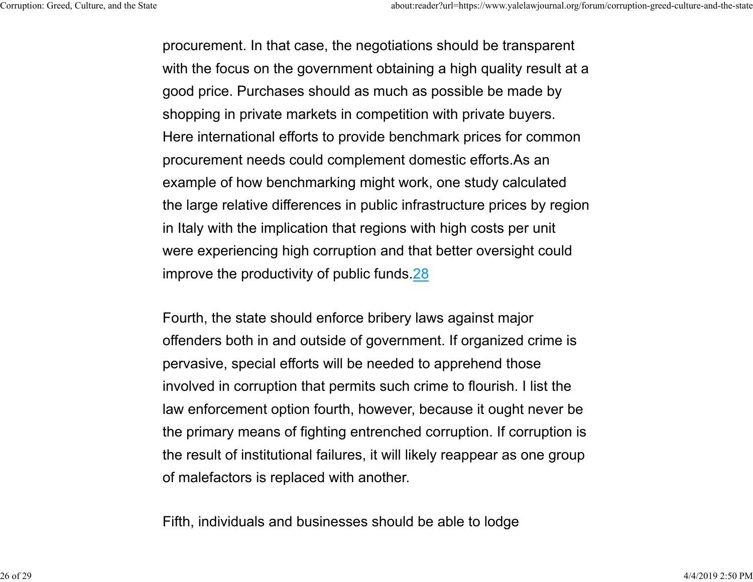procurement. In that case, the negotiations should be transparent with the focus on the government obtaining a high quality result at a good price. Purchases should as much as possible be made by shopping in private markets in competition with private buyers. Here international efforts to provide benchmark prices for common procurement needs could complement domestic efforts.As an example of how benchmarking might work, one study calculated the large relative differences in public infrastructure prices by region in Italy with the implication that regions with high costs per unit were experiencing high corruption and that better oversight could improve the productivity of public funds.28

Fourth, the state should enforce bribery laws against major offenders both in and outside of government. If organized crime is pervasive, special efforts will be needed to apprehend those involved in corruption that permits such crime to flourish. I list the law enforcement option fourth, however, because it ought never be the primary means of fighting entrenched corruption. If corruption is the result of institutional failures, it will likely reappear as one group of malefactors is replaced with another.

Fifth, individuals and businesses should be able to lodge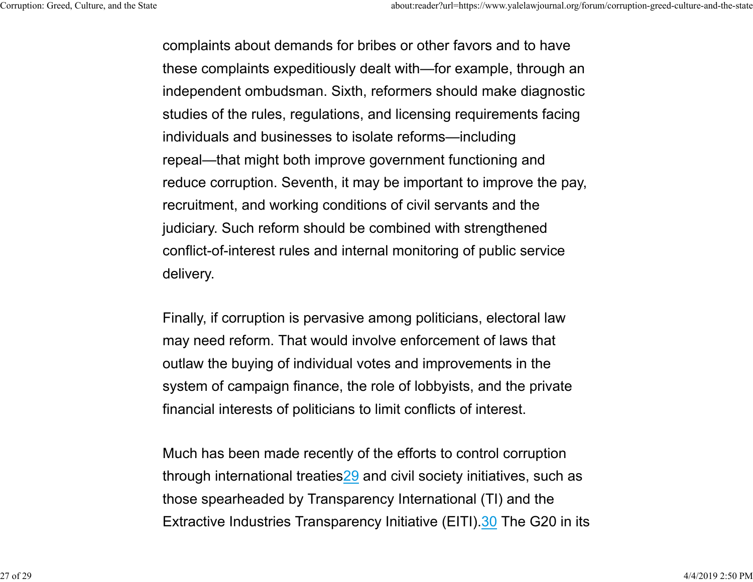complaints about demands for bribes or other favors and to have these complaints expeditiously dealt with—for example, through an independent ombudsman. Sixth, reformers should make diagnostic studies of the rules, regulations, and licensing requirements facing individuals and businesses to isolate reforms—including repeal—that might both improve government functioning and reduce corruption. Seventh, it may be important to improve the pay, recruitment, and working conditions of civil servants and the judiciary. Such reform should be combined with strengthened conflict-of-interest rules and internal monitoring of public service delivery.

Finally, if corruption is pervasive among politicians, electoral law may need reform. That would involve enforcement of laws that outlaw the buying of individual votes and improvements in the system of campaign finance, the role of lobbyists, and the private financial interests of politicians to limit conflicts of interest.

Much has been made recently of the efforts to control corruptio n through international treaties29 and civil society initiatives, such as those spearheaded by Transparency International (TI) and the Extractive Industries Transparency Initiative (EITI).30 The G20 in its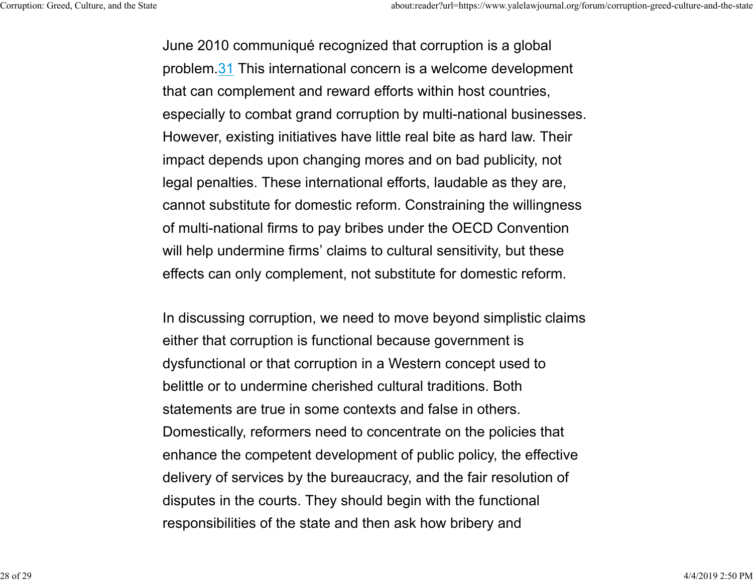June 2010 communiqué recognized that corruption is a global problem.31 This international concern is a welcome development that can complement and reward efforts within host countries, especially to combat grand corruption by multi-national businesses. However, existing initiatives have little real bite as hard law. Their impact depends upon changing mores and on bad publicity, not legal penalties. These international efforts, laudable as they are, cannot substitute for domestic reform. Constraining the willingness of multi-national firms to pay bribes under the OECD Convention will help undermine firms' claims to cultural sensitivity, but these effects can only complement, not substitute for domestic reform.

In discussing corruption, we need to move beyond simplistic claims either that corruption is functional because government is dysfunctional or that corruption in a Western concept used to belittle or to undermine cherished cultural traditions. Bothstatements are true in some contexts and false in others. Domestically, reformers need to concentrate on the policies that enhance the competent development of public policy, the effective delivery of services by the bureaucracy, and the fair resolution of disputes in the courts. They should begin with the functional responsibilities of the state and then ask how bribery and